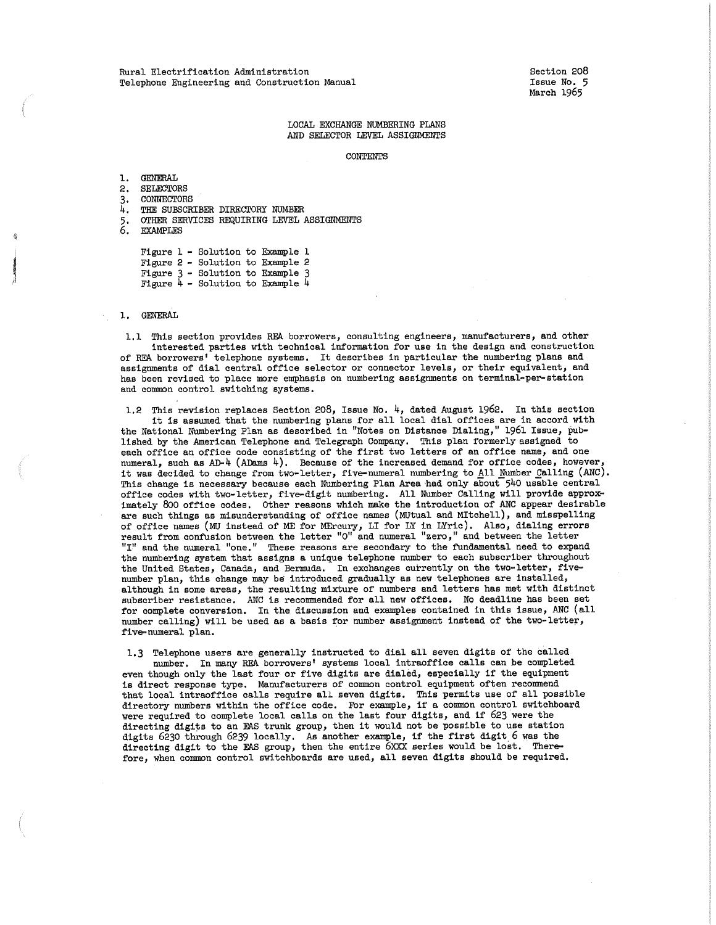Section 208 Issue No. 5 March 1965

#### LOCAL EXCHANGE NUMBERING PLANS AND SELECTOR LEVEL ASSIGNMENTS

CONTENTS

1, GENERAL 2. SELECTORS 3, CONNECTORS 4. THE SUBSCRIBER DIRECTORY NUMBER 5. OTHER SERVICES REQUIRING LEVEL ASSIGNMENTS<br>6. EXAMPLES **EXAMPLES** Figure 1 - Solution to Example 1

Figure 2 - Solution to Example 2 Figure 3 - Solution to Example 3 Figure 4 - Solution to Example 4

### 1, GENERAL

1.1 This section provides REA borrowers, consulting engineers, manufacturers, and other interested parties with technical information for use in the design and construction of REA borrowers' telephone systems. It describes in particular the numbering plans and assignments of dial central office selector or connector levels, or their equivalent, and has been revised to place more emphasis on numbering assignments on terminal-per-station and common control switching systems,

1.2 This revision replaces Section 208, Issue No.  $4$ , dated August 1962. In this section it is assumed that the numbering plans for all local dial offices are in accord with the National Numbering Plan as described in "Notes on Distance Dialing," 1961 Issue, published by the American Telephone and Telegraph Company. This plan formerly assigned to each office an office code consisting of the first two letters of an office name, and one numeral, such as AD-4 (ADams 4). Because of the increased demand for office codes, however, it was decided to change from two-letter, five-numeral numbering to All Number Calling (ANC). This change is necessary because each Numbering Plan Area had only about 540 usable central office codes with two-letter, five-digit numbering. All Number Calling will provide approximately 800 office codes. Other reasons which make the introduction of ANC appear desirabl<br>are such things as misunderstanding of office names (MUtual and MItchell), and misspelling of office names (MU instead of ME for MErcury, LI for LY in LYric). Also, dialing error<br>result from confusion between the letter "O" and numeral "zero," and between the letter "I" and the numeral "one," These reasons are secondary to the fundamental need to expand the numbering system that assigns a unique telephone number to each subscriber throughout the United States, Canada, and Bermuda, In exchanges currently on the two-letter, fivenumber plan, this change may be introduced gradually as new telephones are installed, although in some areas, the resulting mixture of numbers and letters has met with distinct subscriber resistance, ANC is recommended for all new offices, No deadline has been set for complete conversion, In the discussion and examples contained in this issue, ANC (all number calling) will be used as a basis for number assignment instead of the two-letter, five-numeral plan.

1,3 Telephone users are generally instructed to dial all seven digits of the called number. In many REA borrowers' systems local intraoffice calls can be completed even though only the last four or five digits are dialed, especially if the equipment is direct response type. Manufacturers of common control equipment often recommend that local intraoffice calls require all seven digits, This permits use of all possible directory numbers within the office code. For example, if a common control switchboard were required to complete local calls on the last four digits, and if 623 were the directing digits to an EAS trunk group, then it would not be possible to use station digits 6230 through 6239 locally, As another example, if the first digit 6 was the directing digit to the EAS group, then the entire 6xxx series would be lost. Therefore, when common control switchboards are used, all seven digits should be required.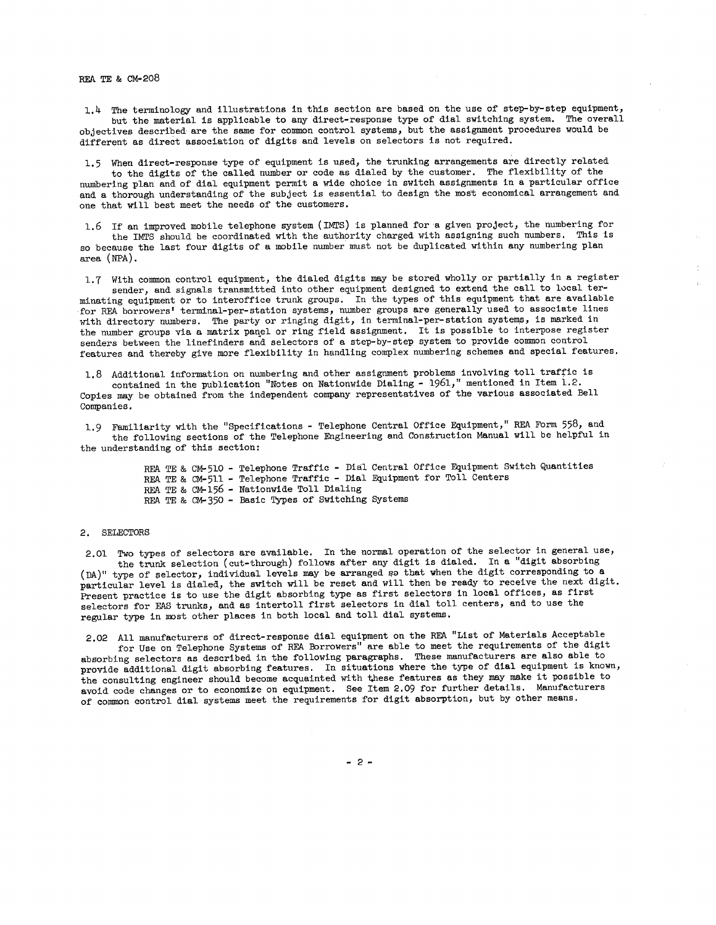1,4 The terminology and illustrations in this section are based on the use of step-by-step equipment, but the material is applicable to any direct-response type of dial switching system. The overall objectives described· are the same for connnon control systems, but the assignment procedures would be different as direct association of digits and levels on selectors is not required,

1,5 When direct-response type of equipment is used, the trunking arrangements are directly related to the digits of the called number or code as dialed by the customer, The flexibility of the numbering plan and of dial equipment permit a wide choice in switch assignments in a particular office and a thorough understanding of the subject is essential to design the most economical arrangement and one that will best meet the needs of the customers,

1,6 If an improved mobile telephone system (IMTS) is planned for a given project, the numbering for the IMTS should be coordinated with the authority charged with assigning such numbers. This is so because the last four digits of a mobile number must not be duplicated within any numbering plan area (NPA).

1.7 With common control equipment, the dialed digits may be stored wholly or partially in a register sender, and signals transmitted into other equipment designed to extend the call to local terminating equipment or to interoffice trunk groups, In the types of this equipment that are available for REA borrowers' terminal-per-station systems, number groups are generally used to associate lines with directory numbers. The party or ringing digit, in terminal-per-station systems, is marked in the number groups via a matrix panel or ring field assignment. It is possible to interpose register senders between the linefinders and selectors of a step-by-step system to provide common control features and thereby give more flexibility in handling complex numbering schemes and special features,

1,8 Additional information on numbering and other assignment problems involving toll traffic is contained in the publication "Notes on Nationwide Dialing - 1961," mentioned in Item 1.2. Copies may be obtained from the independent company representatives of the various associated Bell Companies,

1. 9 Familiarity with the "Specifications - Telephone Central Office Equipment," REA Form 558, and the following sections of the Telephone Engineering and Construction Manual will be helpful in the understanding of this section:

> REA TE & CM-510 - Telephone Traffic - Dial Central Office Equipment Switch Quantities REA TE & CM-5ll - Telephone Traffic - Dial Equipment for Toll Centers REA TE & CM-156 - Nationwide Toll Dialing REA TE & CM-350 - Basic Types of Switching Systems

#### 2. SELECTORS

2,01 Two types of selectors are available, In the normal operation of the selector in general use, the trunk selection (cut-through) follows after any digit is dialed, In **a** "digit absorbing (DA)" type of selector, individual levels may be arranged sa that when the digit corresponding to **<sup>a</sup>** particular level is dialed, the switch will be reset and will then be ready to receive the next digit. Present practice is to use the digit absorbing type as first selectors in local offices, as first selectors for EAS trunks, and as intertoll first selectors in dial toll centers, and to use the regular type in most other places in both local and toll dial systems.

2,02 All manufacturers of direct-response dial equipment on the REA "List of Materials Acceptable for Use on Telephone Systems of REA Borrowers" are able to meet the requirements of the digit absorbing selectors as described in the following paragraphs. These manufacturers are also able to provide additional digit absorbing features, In situations where the type of dial equipment is known, the consulting engineer should become acquainted with these features as they may make it possible to avoid code changes or to economize on equipment. See Item 2,09 for further details, Manufacturers of connnon control dial systems meet the requirements for digit absorption, but by other means,

- 2 -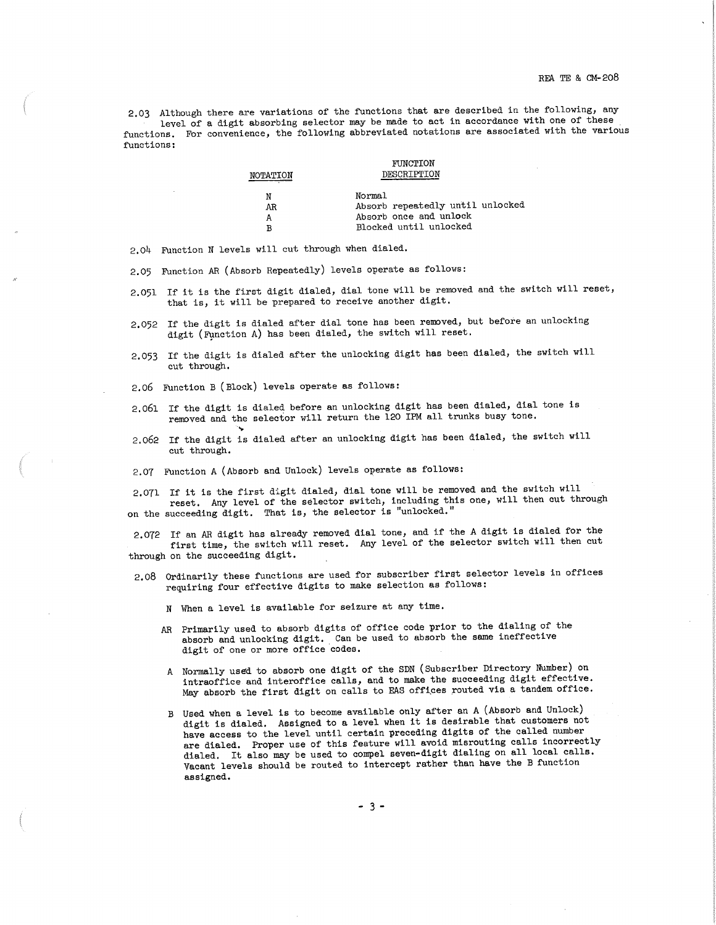2.03 Although there are variations of the functions that are described in the following, any<br>level of a digit absorbing selector may be made to act in accordance with one of these<br>functions. For convenience, the following functions:

|          | FUNCTION                         |
|----------|----------------------------------|
| NOTATION | DESCRIPTION                      |
| Ν        | Normal                           |
| AR       | Absorb repeatedly until unlocked |
| А        | Absorb once and unlock           |
| R        | Blocked until unlocked           |

2.04 Function N levels will cut through when dialed.

2,05 Function AR (Absorb Repeatedly) levels operate as follows:

- 2,051 If it is the first digit dialed, dial tone will be removed and the switch will reset, that is, it will be prepared to receive another digit.
- 2,052 If the digit is dialed after dial tone has been removed, but before an unlocking digit (fynction A) has been dialed, the switch will reset.
- 2,053 If the digit is dialed after the unlocking digit has been dialed, the switch will cut through.

2.06 Function B ( Block) levels operate as follows:

...

- 2,061 If the digit is dialed before an unlocking digit has been dialed, dial tone is removed and the selector will return the 120 IPM all trunks busy tone,
- 2,062 If the digit is dialed after an unlocking digit has been dialed, the switch will cut through.
- 2,07 Function A (Absorb and Unlock) levels operate as follows:

2,071 If it is the first digit dialed, dial tone will be removed and the switch will reset, Any level of the selector switch, including this one, will then cut through on the succeeding digit. That is, the selector is "unlocked."

2,072 If an AR digit has already removed dial tone, and if the A digit is dialed for the first time, the switch will reset. Any level of the selector switch will then cut through on the succeeding digit.

- 2.08 Ordinarily these functions are used for subscriber first selector levels in offices requiring four effective digits to make selection as follows:
	- N When a level is available for seizure at any time.
	- AR Primarily used to absorb digits of office code prior to the dialing of the absorb and unlocking digit, Can be used to absorb the same ineffective digit of one or more office codes,
	- A Normally used to absorb one digit of the SDN (Subscriber Directory Number) on intraoffice and interoffice calls, and to make the succeeding digit effective. May absorb the first digit on calls to EAS offi\_ces \_routed via a tandem office.
	- B Used when a level is to become available only after an A (Absorb and Unlock) digit is dialed. Assigned to a level when it is desirable that customers not have access to the level until certain preceding digits of the cal assigned.

- 3 -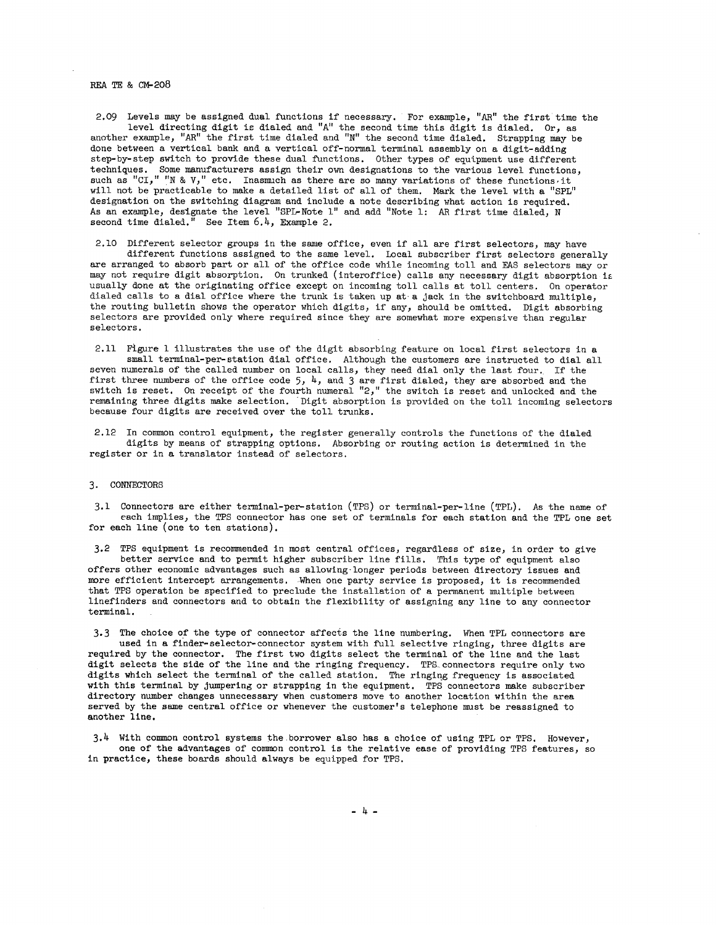#### REA TE & CM-2O8

2.09 Levels may be assigned dual functions if necessary. For example, *"AR"* the first time the level directing digit ie dialed and "A" the second time this digit is dialed. Or, as another example, *"AR"* the first time dialed and "N" the second time dialed. Strapping may be done between a vertical bank and a vertical off-normal terminal assembly on a digit-adding step-by-step switch to provide these dual functions. Other types of equipment use different techniques. Some manufacturers assign their own designations to the various level functions, such as "CI," "N & V," etc. Inasmuch as there are so many variations of these functions, it will not be practicable to make a detailed list of all of them. Mark the level with a "SPL" designation on the switching diagram and include a note describing what action is required. As an example, designate the level "SPL-Note l" and add "Note 1: AR first time dialed, N second time dialed.<sup> $n$ </sup> See Item  $6.4$ , Example 2.

2.10 Different selector groups in the same office, even if all are first selectors, may have different functions assigned to the same level. Local subscriber first selectors generally are arranged to absorb part or all of the office code while incoming toll and EAS selectors may or may not require digit absorption. On trunked (interoffice) calls any necessary digit absorption is usually done at the originating office except on incoming toll calls at toll centers, On operator dialed calls to a dial office where the trunk is taken up at a jack in the switchboard multiple, the routing bulletin shows the operator which digits, if any, should be omitted. Digit absorbing selectors are provided only where required since they are somewhat more expensive than regular selectors.

2.11 Figure 1 illustrates the use of the digit absorbing feature on local first selectors in a small terminal-per-station dial office. Although the customers are instructed to dial all seven numerals of the called number on local calls, they need dial only the last four. If the first three numbers of the office code 5,  $4$ , and 3 are first dialed, they are absorbed and the switch is reset. On receipt of the fourth numeral "2," the switch is reset and unlocked and the remaining three digits make selection. Digit absorption is provided on the toll incoming selectors because four digits are received over the toll trunks,

2.12 In common control equipment, the register generally controls the functions of the dialed digits by means of strapping options, Absorbing or routing action is determined in the register or in a translator instead of selectors,

#### 3. CONNECTORS

3.1 Connectors are either terminal-per-station (TPS) or terminal-per-line (TPL), As the name of each implies, the TPS connector has one set of terminals for each station and the TPL one set for each line (one to ten stations).

3.2 TPS equipment is recommended in most central offices, regardless of size, in order to give better service and to permit higher subscriber line fills, This type of equipment also offers other economic advantages such as allowing·longer periods between directory issues and more efficient intercept arrangements. When one party service is proposed, it is recommended that TPS operation be specified to preclude the installation of a permanent multiple between linefinders and connectors and to obtain the flexibility of assigning any line to any connector terminal.

3. 3 The choice of the type of connector affects the line numbering. When TPL connectors are used in a finder-selector-connector system with full selective ringing, three digits are required by the connector. The first two digits select the terminal of the line and the last digit selects the side of the line and the ringing frequency. TPS\_connectors require only two digits which select the terminal of the called station. The ringing frequency is associated with this terminal by jumpering or strapping in the equipment. TPS connectors make subscriber directory number changes unnecessary when customers move to another location within the area served by the same central office or whenever the customer's telephone must be reassigned to another line.

3.4 With common control systems the borrower also has a choice of using TPL or TPS, However, one of the advantages of common control is the relative ease of providing TPS features, so in practice, these boards should always be equipped for TPS.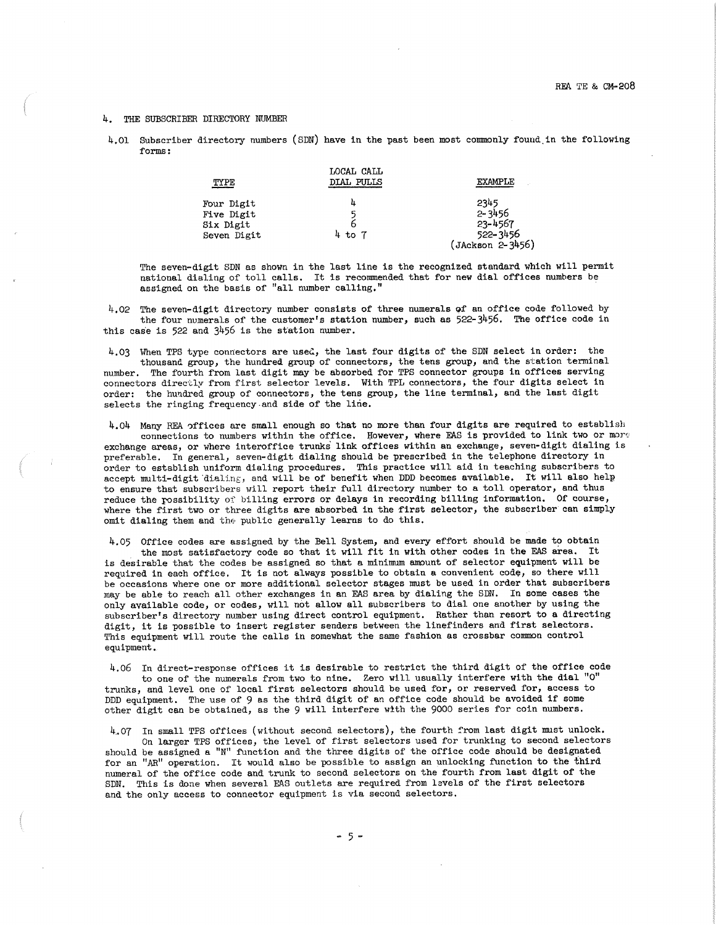#### 4. THE SUBSCRIBER DIRECTORY NUMBER

4.01 Subscriber directory numbers (SDN) have in the past been most commonly found in the following forms:

| TYPE                                                 | LOCAL CALL<br>DIAL PULLS | <b>EXAMPLE</b>                                                |
|------------------------------------------------------|--------------------------|---------------------------------------------------------------|
| Four Digit<br>Five Digit<br>Six Digit<br>Seven Digit | 4<br>5<br>6<br>4 to 7    | 2345<br>$2 - 3456$<br>23-4567<br>522-3456<br>(JAckson 2-3456) |

The seven-digit SDN as shown in the last line is the recognized standard which will permit national dialing of toll calls. It is recommended that for new dial offices numbers be assigned on the basis of "all number calling,"

4.02 The seven-digit directory number consists of three numerals of an office code followed by the four numerals of the customer's station number, such as  $522-3456$ . The office code in this case is 522 and  $3456$  is the station number.

4.03 When TPS type connectors are used, the last four digits of the SDN select in order: the thousand group, the hundred group of connectors, the tens group, and the station terminal number. The fourth from last digit may be absorbed for TPS connector groups in offices serving connectors directly from first selector levels, With TPL connectors, the four digits select in order: the hundred group of connectors, the tens group, the line terminal, and the last digit selects the ringing frequency.and side of the line.

4.04 Many REA 0ffices are small enough so that no more than four digits are required to establish connections to numbers within the office. However, where EAS is provided to link two or more exchange areas, or where interoffice trunks link offices within an exchange, seven-digit dialing is preferable. In general, seven-digit dialing should be prescribed in the telephone directory in order to establish uniform dialing procedures. This practice will aid in teaching subscribers to accept multi-digit dialing, and will be of benefit when DDD becomes available. It will also help to ensure that subscribers will report their full directory number to a toll operator, and thus reduce the rossibility of billing errors or delays in recording billing information. Of course, where the first two or three digits are absorbed in the first selector, the subscriber can simply omit dialing them and the public generally learns to do this.

4,05 Office codes are assigned by the Bell System, and every effort should be made to obtain the most satisfactory code so that it will fit in with other codes in the FAS area, It is desirable that the codes be assigned so that a mininmm amount of selector equipment will be required in each office, It is not always possible to obtain a convenient code, so there will be occasions where one or more additional selector stages nmst be used in order that subscribers may be able to reach all other exchanges in an FAS area by dialing the SDN. In some cases the only available code, or codes, will not allow all subscribers to dial one another by using the subscriber's directory number using direct control equipment. Rather than resort to a directing digit, it is possible to insert register senders between the linefinders and first selectors. This equipment will route the calls in somewhat the same fashion as crossbar common control equipment,

4.06 In direct-response offices it is desirable to restrict the third digit of the office code to one of the numerals from two to nine. Zero will usually interfere with the dial "O" trunks, and level one of local first selectors should be used for, or reserved for, access to DDD equipment. The use of 9 as the third digit of an office code should be avoided if some other digit can be obtained, as the 9 will interfere with the 9000 series for coin numbers.

4.07 In small TPS offices (without second selectors), the fourth from last digit must unlock.

On larger TPS offices, the level of first selectors used for trunking to second selectors should be assigned a "N" function and the three digits of the office code should be designated for an "AR" operation. It would also be possible to assign an unlocking function to the third numeral of the office code and trunk to second selectors on the fourth from last digit of the SDN. This is done when several EAS outlets are required from levels of the first selectors and the only access to connector equipment is via second selectors.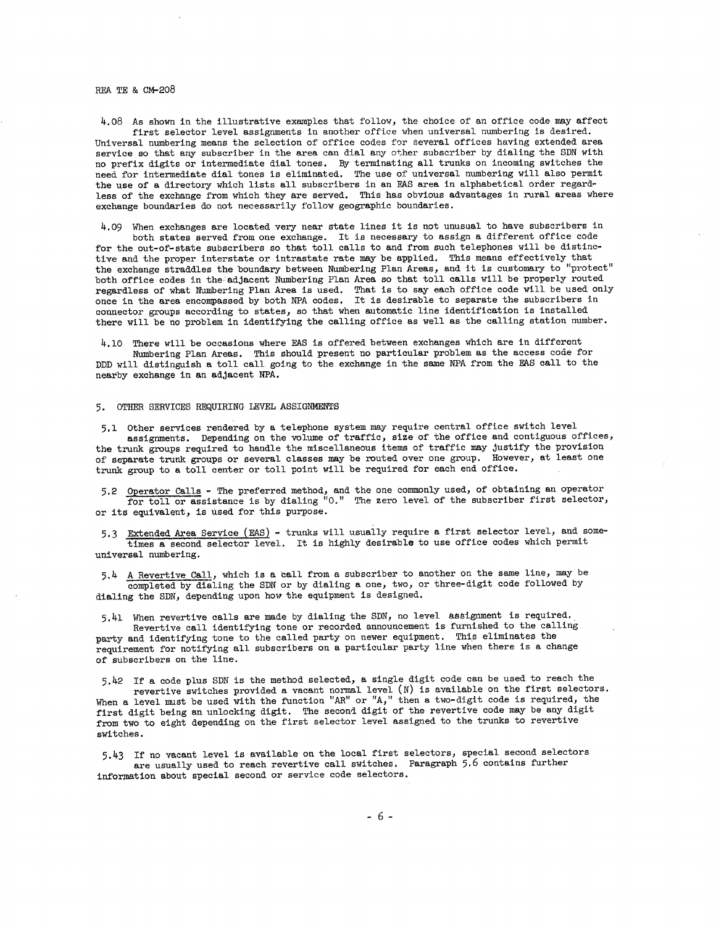### REA TE & CM-208

4.08 As shown in the illustrative examples that follow, the choice of an office code may affect first selector level assignments in another office when universal numbering is desired. Universal numbering means the selection of office codes for several offices having extended area service so that any subscriber in the area can dial any other subscriber by dialing the SDN with no prefix digits or intermediate dial tones. By terminating all trunks on incoming switches the need for intermediate dial tones is eliminated. The use of universal numbering will also permit the use of a directory which lists all subscribers in an EAS area in alphabetical order regardless of the exchange from which they are served. This has obvious advantages in rural areas where exchange boundaries do not necessarily follow geographic boundaries.

4,09 When exchanges are located very near state lines it is not unusual to have subscribers in both states served from one exchange. It is necessary to assign a different office code for the out-of-state subscribers so that toll calls to and from such telephones will be distinctive and the proper interstate or intrastate rate may be applied, This means effectively that the exchange straddles the boundary between Numbering Plan Areas, and it is customary to "protect" both office codes in the-adjacent Numbering Plan Area so that toll calls will be properly routed regardless of what Numbering Plan Area is used. That is to say each office code will be used only once in the area encompassed by both NPA codes, It is desirable to separate the subscribers in connector groups according to states, so that when automatic line identification is installed there will be no problem in identifying the calling office as well as the calling station number.

4.10 There will be occasions where EAS is offered between exchanges which are in different Numbering Plan Areas, This should present no particular problem as the access code for DDD will distinguish a toll call going to the exchange in the same NPA from the EA.S call to the nearby exchange in an adjacent NPA,

#### 5, OTHER SERVICES REQUIRING LEVEL ASSIGNMENTS

5,1 Other services rendered by a telephone system may require central office switch level assignments. Depending on the volume of traffic, size of the office and contiguous offices, the trunk groups required to handle the miscellaneous items of traffic may justify the provision of separate trunk groups or several classes may be routed over one group. However, at least one trunk group to a toll center or toll point will be required for each end office.

5.2 Operator Calls - The preferred method, and the one commonly used, of obtaining an operato for toll or assistance is by dialing "0." The zero level of the subscriber first selector or its equivalent, is used for this purpose.

5.3 Extended Area Service (EAS) - trunks will usually require a first selector level, and sometimes a second selector level. It is highly desirable to use office codes which permit universal numbering.

5.4 A Revertive Call, which is a call from a subscriber to another on the same line, may be completed by dialing the SDN or by dialing a one, two, or three-digit code followed by dialing the SDN, depending upon how the equipment is designed.

5.41 When revertive calls are made by dialing the SDN, no level assignment is required.

Revertive call identifying tone or recorded announcement is furnished to the calling party and identifying tone to the called party on newer equipment. This eliminates the requirement for notifying all subscribers on a particular party line when there is a change of subscribers on the line,

5.42 If a code plus SDN is the method selected, a single digit code can be used to reach the revertive switches provided a vacant normal level (N) is available on the first selectors. When a level must be used with the function "AR" or "A," then a two-digit code is required, the first digit being an unlocking digit. The second digit of the revertive code may be any digit from two to eight depending on the first selector level assigned to the trunks to revertive switches,

5,43 If no vacant level is available on the local first selectors, special second selectors are usually used to reach revertive call switches. Paragraph 5.6 contains further information about special second or service code selectors.

- 6 -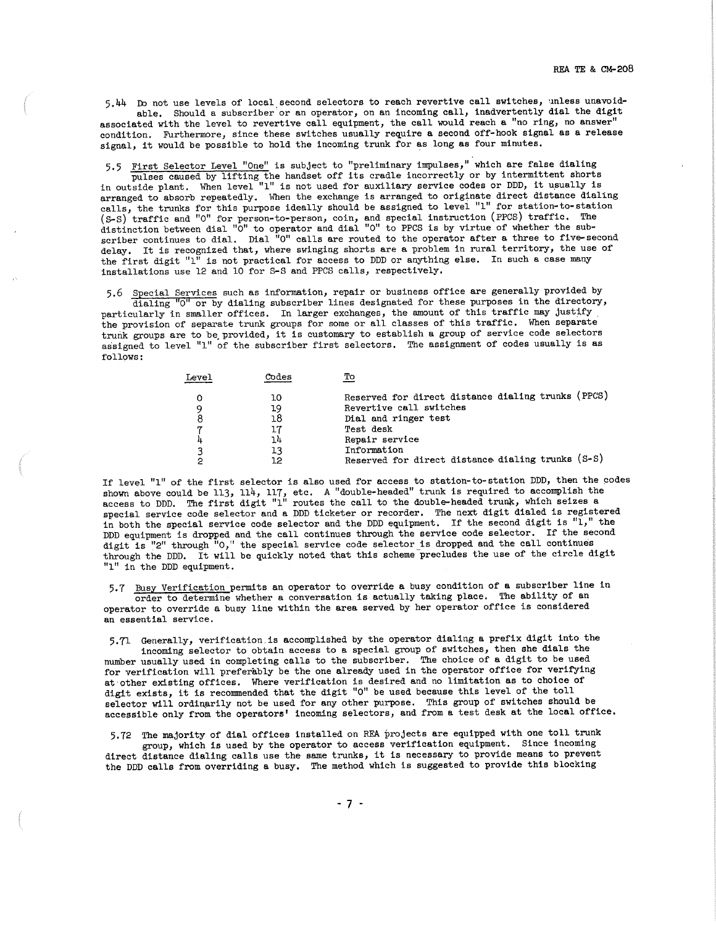5.44 Do not use levels of local second selectors to reach revertive call switches, unless unavoidable. Should a subscriber'or an operator, on an incoming call, inadvertently dial the digit

associated with the level to revertive call equipment, the call would reach a "no ring, no answer" condition. Furthermore, since these switches usually require a second off-hook signal as a release signal, it would be possible to hold the incoming trunk for as long as four minutes.

5,5 First Selector Level "One" is subject to "preliminary impulses," which are false dialing pulses caused by lifting the handset off its cradle incorrectly or by intermittent shorts in outside plant. When level "1" is not used for auxiliary service codes or DDD, it usually is arranged to absorb repeatedly. When the exchange is arranged to originate direct distance dialin calls, the trunks for this purpose ideally should be assigned to level "1" for station-to-sta (S-S) traffic and "O" for person-to-person, coin, and special instruction (PPCS) traffic. The distinction between dial "O" to operator and dial "O" to PPCS is by virtue of whether the subscriber continues to dial. Dial "O" calls are routed to the operator after a three to five-second delay. It is recognized that, where swinging shorts are a problem in rural territory, the use of the first digit  $"1"$  is not practical for access to DDD or anything else. In such a case many installations use 12 and 10 for S-S and PPCS calls, respectively,

5.6 Special Services such as information, repair or business office are generally provided by

dialing "O" or by dialing subscriber lines designated for these purposes in the directory, particularly in smaller offices. In larger exchanges, the amount of this traffic may justify. the provision of separate trunk groups for some or all classes of this traffic. When separate trunk groups are to be\_provided, it is customary to establish **a** group of service code selectors assigned to level "1" of the subscriber first selectors. The assignment of codes usually is as follows:

| Level | Codes | Tо                                                 |
|-------|-------|----------------------------------------------------|
|       | 10    | Reserved for direct distance dialing trunks (PPCS) |
|       | 19    | Revertive call switches                            |
|       | 18    | Dial and ringer test                               |
|       |       | Test desk                                          |
| 4     | 14    | Repair service                                     |
| ว     | 13    | Information                                        |
|       | 12    | Reserved for direct distance dialing trunks (S-S)  |

If level "1" of the first selector is also used for access to station-to-station DDD, then the codes shown above could be 113, 114, 117, etc. A "double-headed" trunk is required to accomplish the access to DDD. The first digit "1" routes the call to the double-headed trunk, which seizes a special service code selector and a DDD ticketer or recorder. The next digit dialed is registered in both the special service code selector and the DDD equipment. If the second digit is  $"1,"$  the DDD equipment is dropped and the call continues through the service code selector. If the second digit is "2" through "0," the special service code selector is dropped and the call continues through the DDD. It will be quickly noted that this scheme precludes the use of the circle digit "1" in the DDD equipment.

5,7 Busy Verification permits an operator to override **a** busy condition of **a** subscriber line in order to determine whether a conversation. is actually taking place. The ability of an operator to override a busy line within the area served by her operator office is considered an essential service.

5,71 Generally, verification.is accomplished by the operator dialing **<sup>a</sup>**prefix digit into the incoming selector to obtain access to a special group of switches, then she dials the number usually used in completing calls to the subscriber. The choice of a digit to be used for verification will preferably be the one already used in the operator office for verifying at·other existing offices. Where verification is desired and no limitation as to choice of digit exists, it is recommended that the digit "O" be used because this level of the toll selector will ordinarily not be used for any other purpose. This group of switches should be accessible only from the operators' incoming selectors, and from **a** test desk at the local office.

5,72 The majority of dial offices installed on REA projects are equipped with one toll trunk group, which is used by the operator to access verification equipment. Since incoming direct distance dialing calls use the same trunks, it is necessary to provide means to prevent the DDD calls from overriding **a** busy. The method which is suggested to provide this blocking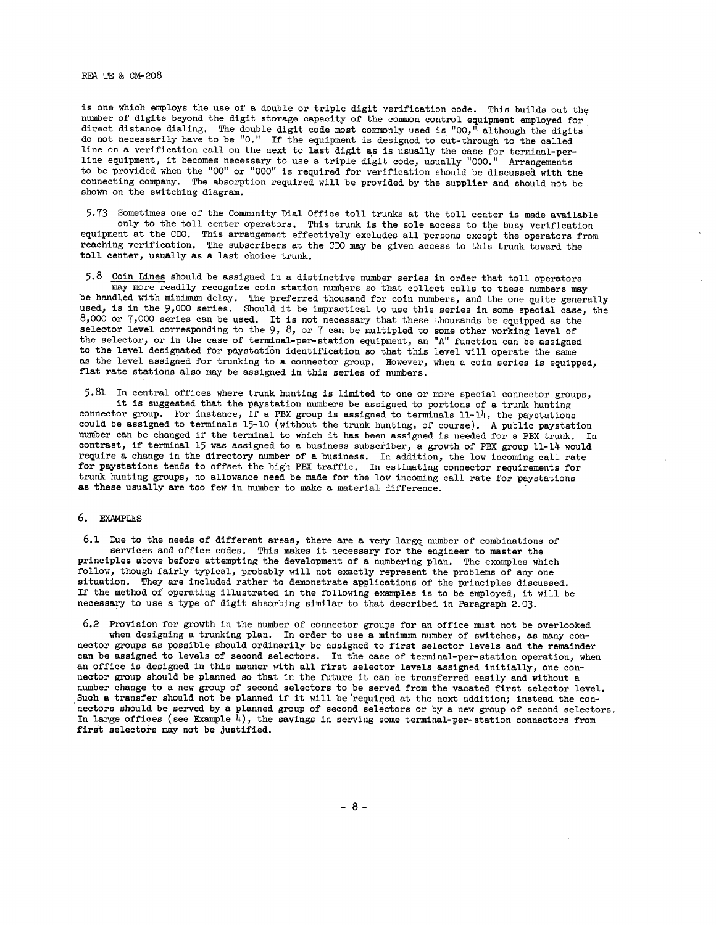### REA TE & CM-208

is one which employs the use of a double or triple digit verification code. This builds out the number of digits beyond the digit storage capacity of the common control equipment employed for direct distance dialing. The double digit code most commonly used is "00," although the digits do not necessarily have to be "0." If the equipment is designed to cut-through to the called line on a verification call on the next to last digit as is usually the case for terminal-perline equipment, it becomes necessary to use a triple digit code, usually "000." Arrangements to be provided when the "00" or "000" is required for verification should be discussed with the connecting company. The absorption required will be provided by the supplier and should not be shown on the switching diagram.

5.73 Sometimes one of the Community Dial Office toll trunks at the toll center is made available only to the toll center operators. This trunk is the sole access to the busy verification equipment at the COO, This arrangement effectively excludes all persons except the operators from reaching verification, The subscribers at the COO may be given access to this trunk toward the toll center, usually **as a** last choice trunk,

5.8 Coin Lines should be assigned in a distinctive number series in order that toll operators may more readily recognize coin station numbers so that collect calls to these numbers may be handled with minimum delay. The preferred thousand for coin numbers, and the one quite generall used, is in the 9,000 series. Should it be impractical to use this series in some special case, the 8,000 or 7,000 series can be used. It is not necessary that these thousands be equipped as the selector level corresponding to the  $9, 8,$  or 7 can be multipled to some other working level of the selector, or in the case of terminal-per-station equipment, an "A" function can be assigned to the level designated for paystation identification so that this level will operate the same as the level assigned for trunking to a connector group. However, when a coin series is equipped, flat rate stations also may be assigned in this series of numbers.

5.81 In central offices where trunk hunting is limited to one or more special connector groups, it is suggested that the paystation numbers be assigned to portions of a trunk hunting connector group. For instance, if a PBX group is assigned to terminals 11-14, the paystations could be assigned to terminals 15-10 (without the trunk hunting, of course). A public paystation number can be changed if the terminal to which it has been assigned is needed for a PBX trunk. In contrast, if terminal 15 was assigned to a business subscriber, a growth of PBX group 11-14 would require a change in the directory number of a business. In addition, the low incoming call rate for paystations tends to offset the high PBX traffic. In estimating connector requirements for trunk hunting groups, no allowance need be made for the low incoming call rate for paystations as these usually are too few in number to make a material difference.

#### 6. EXAMPLES

6.1 Due to the needs of different areas, there are a very large number of combinations of services and office codes. This makes it necessary for the engineer to master the principles above before attempting the development of a numbering plan. The examples which follow, though fairly typical, probably will not exactly represent the problems of any one situation. They are included rather to demonstrate applications of the principles discussed, If the method of operating illustrated in the following examples is to be employed, it will be necessary to use a type of digit absorbing similar to that described in Paragraph 2.03.

6.2 Provision for growth in the number of connector groups for an office nmst not be overlooked when designing a trunking plan. In order to use a minimum number of switches, as many connector groups as possible should ordinarily be assigned to first selector levels and the remainder can be assigned to levels of second selectors, In the case of terminal-per-station operation, when an office is designed in this manner with all first selector levels assigned initially, one connector group should be planned so that in the future it can be transferred easily and without a number change to a new group of second selectors to be served from the vacated first selector level. Such a transfer should not be planned if it will be required at the next addition; instead the connectors should be served by a planned group of second selectors or by a new group of second selectors. In large offices (see Example  $\frac{1}{4}$ ), the savings in serving some terminal-per-station connectors from first selectors may not be justified.

- 8 -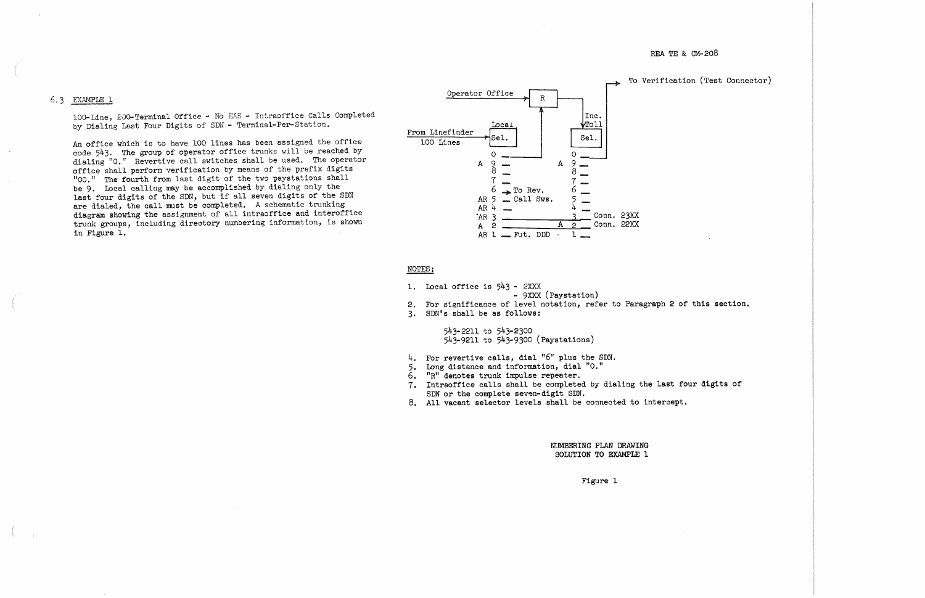# 6,3 EXAMPLE l

100-Line, 200-Terminal Office - No EAS - Intraoffice Calls Completed by Dialing Last Four Digits of SDN - Terminal-Per-Station.

An office which is to have 100 lines has been assigned the office code 543, The group of operator office trunks will be reached by dialing "O." Revertive call switches shall be used. The operator office shall perform verification by means of the prefix digits <sup>11</sup>00." The fourth from last digit of the twa paystations shall be 9, Local calling may be accomplished by dialing only the last four digits of the SDN, but if all seven digits of the SDN are dialed, the call must be completed. A schematic trunking diagram showing the assignment of all intraoffice and interoffice trunk groups, including directory numbering information, is shown in Figure 1.

- 4. For revertive calls, dial "6" plus the SDN.
- 5, Long distance and information, dial "O,"
- 6. "R" denotes trunk impulse repeater,
- 7, Intraoffice calls shall be completed by dialing the last four digits of SDN or the complete seven-digit SDN.
- 8. All vacant selector levels shall be connected to intercept,

REA TE & CM-208

To Verification (Test Connector)



## NOTES:

1. Local office is  $543 - 2XXX$ 

- 9XXX (Paystation

- 2. For significance of level notation, refer to Paragraph 2 of this section.
- 3, SDN's shall be as follows:

543-2211 to 543-2300 543-9211 to 543-9300 (Paystations)

> NUMBERING PLAN DRAWING SOLUTION TO EXAMPLE 1

> > Figure 1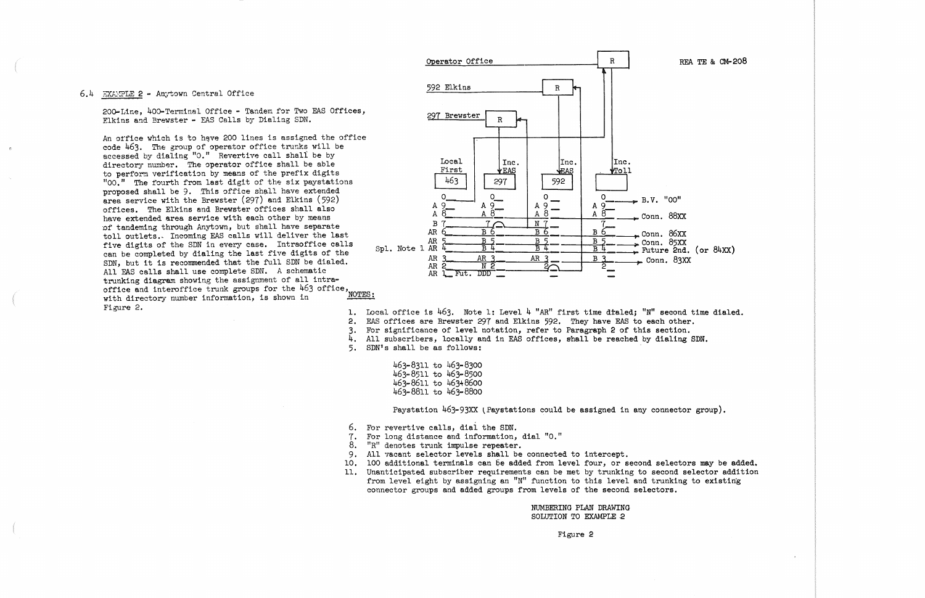## 6.4 EXAMPLE 2 - Anytown Central Office

200-Line, 400-Terminal Office - Tandem for Two EAS Offices, Elkins and Brewster - EAS Calls by Dialing SDN.

An office which is to have 200 lines is assigned the office code 463. The group of operator office trunks will be accessed by dialing "0." Revertive call shall be by directory number. The operator office shall be able to perform verification by means of the prefix digits "00." The fourth from last digit of the six paystations proposed shall be 9. This office shall have extended area service with the Brewster (297) and Elkins (592) offices. The Elkins and Brewster offices shall also have extended area service with each other by means of tandeming through Anytown, but shall have separate toll outlets. Incoming EAS calls will deliver the last five digits of the SDN in every case. Intraoffice calls can be completed by dialing the last five digits of the SDN. but it is recommended that the full SDN be dialed. All EAS calls shall use complete SDN. A schematic trunking diagram showing the assignment of all intratrunking diagram showing the distinction of 463 office,<br>office and interoffice trunk groups for the 463 office, with directory number information, is shown in Figure 2.



1. Local office is 463. Note 1: Level 4 "AR" first time dialed; "N" second time dialed.

2. EAS offices are Brewster 297 and Elkins 592. They have EAS to each other.

3. For significance of level notation, refer to Paragraph 2 of this section.

4. All subscribers, locally and in EAS offices, shall be reached by dialing SDN.

5. SDN's shall be as follows:

| 463-8311 to 463-8300 |  |
|----------------------|--|
| 463-8511 to 463-8500 |  |
| 463-8611 to 463+8600 |  |
| 463-8811 to 463-8800 |  |

Paystation 463-93XX (Paystations could be assigned in any connector group).

- 6. For revertive calls, dial the SDN.
- 7. For long distance and information, dial "0."
- 8. "R" denotes trunk impulse repeater.
- 9. All vacant selector levels shall be connected to intercept.
- 10. 100 additional terminals can be added from level four, or second selectors may be added.
- 11. Unanticipated subscriber requirements can be met by trunking to second selector addition from level eight by assigning an "N" function to this level and trunking to existing connector groups and added groups from levels of the second selectors.

NUMBERING PLAN DRAWING SOLUTION TO EXAMPLE 2

Figure 2

REA TE & CM-208

Future 2nd. (or 84XX)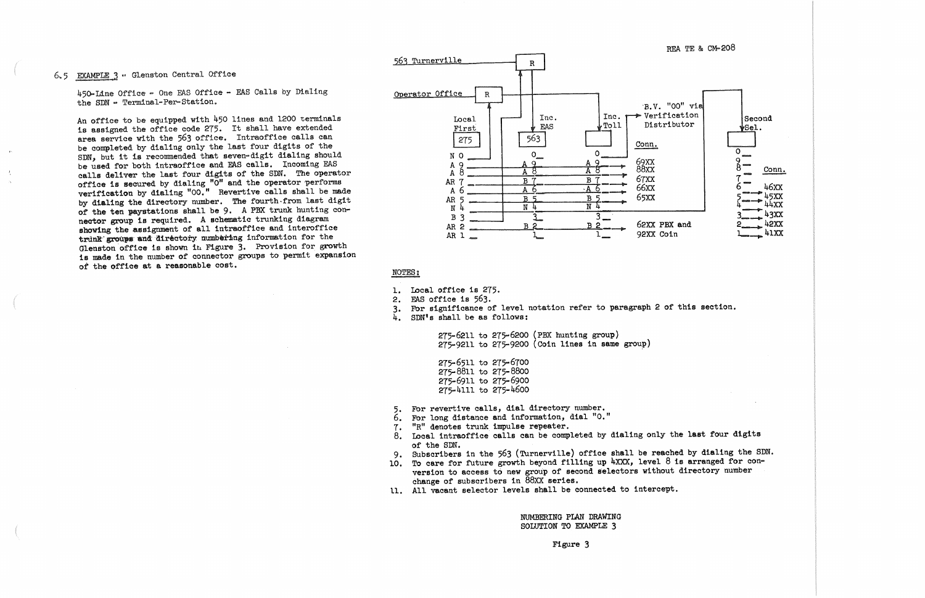## 6.5 EXAMPLE 3 - Glenston Central Office

450-Line Office - One EAS Office - EAS Calls by Dialing the SDN - Terminal-Per-Station.

An office to be equipped with 450 lines and 1200 terminals is assigned the office code 275. It shall have extended area service with the 563 office. Intraoffice calls can be completed by dialing only the last four digits of the SDN, but it is recommended that seven-digit dialing should be used for both intraoffice and EAS calls. Incoming EAS calls deliver the last four digits of the SDN. The operator office is secured by dialing "0" and the operator performs<br>verification by dialing "00." Revertive calls shall be made by dialing the directory number. The fourth from last digit of the ten paystations shall be 9. A PBX trunk hunting connector group is required. A schematic trunking diagram showing the assignment of all intraoffice and interoffice trunk groups and directory numbering information for the Glenston office is shown in Figure 3. Provision for growth is made in the number of connector groups to permit expansion of the office at a reasonable cost.



## NOTES:

- 1. Local office is 275.
- 2. EAS office is 563.
- 3. For significance of level notation refer to paragraph 2 of this section.
- 4. SDN's shall be as follows:

275-6211 to 275-6200 (PBX hunting group)  $275-9211$  to  $275-9200$  (Coin lines in same group)

275-6511 to 275-6700 275-8811 to 275-8800 275-6911 to 275-6900 275-4111 to 275-4600

For revertive calls, dial directory number. 5.

- For long distance and information, dial "O." 6.
- "R" denotes trunk impulse repeater.  $7.$
- 8. Local intraoffice calls can be completed by dialing only the last four digits of the SDN.
- Subscribers in the 563 (Turnerville) office shall be reached by dialing the SDN. 9.
- 10. To care for future growth beyond filling up 4XXX, level 8 is arranged for conversion to access to new group of second selectors without directory number change of subscribers in 88XX series.
- 11. All vacant selector levels shall be connected to intercept.

NUMBERING PLAN DRAWING SOLUTION TO EXAMPLE 3

Figure 3